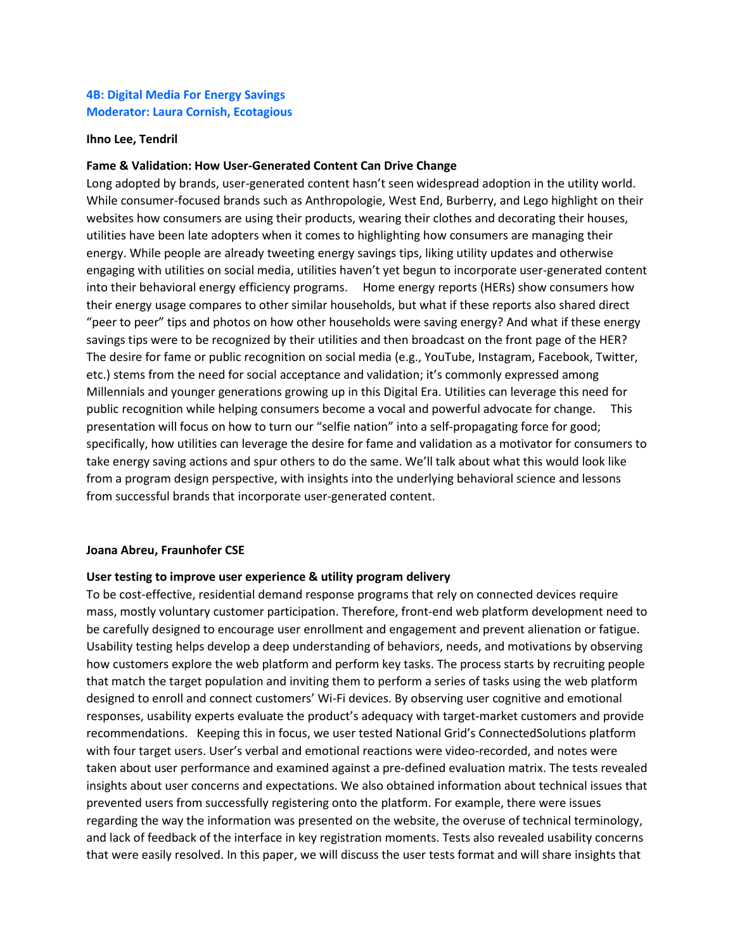# **4B: Digital Media For Energy Savings Moderator: Laura Cornish, Ecotagious**

#### **Ihno Lee, Tendril**

#### **Fame & Validation: How User-Generated Content Can Drive Change**

Long adopted by brands, user-generated content hasn't seen widespread adoption in the utility world. While consumer-focused brands such as Anthropologie, West End, Burberry, and Lego highlight on their websites how consumers are using their products, wearing their clothes and decorating their houses, utilities have been late adopters when it comes to highlighting how consumers are managing their energy. While people are already tweeting energy savings tips, liking utility updates and otherwise engaging with utilities on social media, utilities haven't yet begun to incorporate user-generated content into their behavioral energy efficiency programs. Home energy reports (HERs) show consumers how their energy usage compares to other similar households, but what if these reports also shared direct "peer to peer" tips and photos on how other households were saving energy? And what if these energy savings tips were to be recognized by their utilities and then broadcast on the front page of the HER? The desire for fame or public recognition on social media (e.g., YouTube, Instagram, Facebook, Twitter, etc.) stems from the need for social acceptance and validation; it's commonly expressed among Millennials and younger generations growing up in this Digital Era. Utilities can leverage this need for public recognition while helping consumers become a vocal and powerful advocate for change. This presentation will focus on how to turn our "selfie nation" into a self-propagating force for good; specifically, how utilities can leverage the desire for fame and validation as a motivator for consumers to take energy saving actions and spur others to do the same. We'll talk about what this would look like from a program design perspective, with insights into the underlying behavioral science and lessons from successful brands that incorporate user-generated content.

#### **Joana Abreu, Fraunhofer CSE**

#### **User testing to improve user experience & utility program delivery**

To be cost-effective, residential demand response programs that rely on connected devices require mass, mostly voluntary customer participation. Therefore, front-end web platform development need to be carefully designed to encourage user enrollment and engagement and prevent alienation or fatigue. Usability testing helps develop a deep understanding of behaviors, needs, and motivations by observing how customers explore the web platform and perform key tasks. The process starts by recruiting people that match the target population and inviting them to perform a series of tasks using the web platform designed to enroll and connect customers' Wi-Fi devices. By observing user cognitive and emotional responses, usability experts evaluate the product's adequacy with target-market customers and provide recommendations. Keeping this in focus, we user tested National Grid's ConnectedSolutions platform with four target users. User's verbal and emotional reactions were video-recorded, and notes were taken about user performance and examined against a pre-defined evaluation matrix. The tests revealed insights about user concerns and expectations. We also obtained information about technical issues that prevented users from successfully registering onto the platform. For example, there were issues regarding the way the information was presented on the website, the overuse of technical terminology, and lack of feedback of the interface in key registration moments. Tests also revealed usability concerns that were easily resolved. In this paper, we will discuss the user tests format and will share insights that